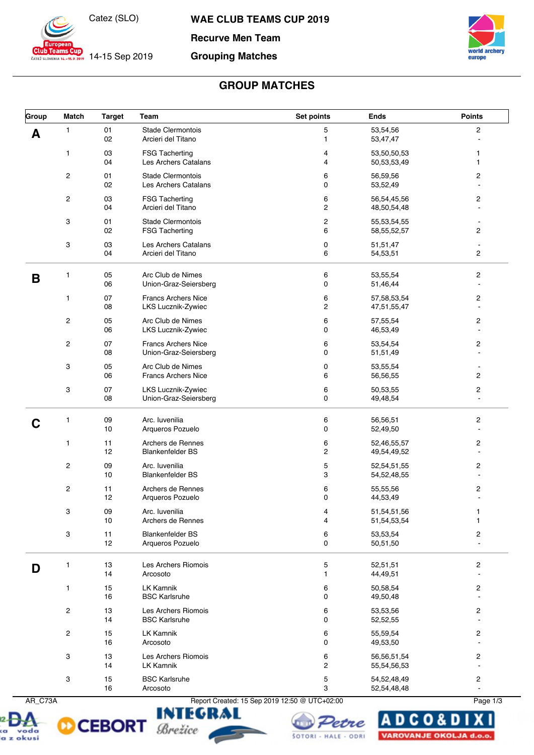

**CLUB Learns Cup** 14-15 Sep 2019

**WAE CLUB TEAMS CUP 2019**

**Recurve Men Team**

#### **Grouping Matches**



# **GROUP MATCHES**

| Group | <b>Match</b>                                             | <b>Target</b> | Team                                                | Set points                   | <b>Ends</b>                   | <b>Points</b>                             |
|-------|----------------------------------------------------------|---------------|-----------------------------------------------------|------------------------------|-------------------------------|-------------------------------------------|
| А     | 1                                                        | 01<br>02      | Stade Clermontois<br>Arcieri del Titano             | 5<br>1                       | 53,54,56<br>53,47,47          | $\overline{c}$                            |
|       | 1                                                        | 03<br>04      | <b>FSG Tacherting</b><br>Les Archers Catalans       | 4<br>4                       | 53,50,50,53<br>50,53,53,49    | 1<br>1                                    |
|       | $\overline{c}$                                           | 01<br>02      | <b>Stade Clermontois</b><br>Les Archers Catalans    | 6<br>0                       | 56,59,56<br>53,52,49          | 2<br>÷,                                   |
|       | $\overline{c}$                                           | 03<br>04      | <b>FSG Tacherting</b><br>Arcieri del Titano         | 6<br>2                       | 56,54,45,56<br>48,50,54,48    | 2<br>$\blacksquare$                       |
|       | 3                                                        | 01<br>02      | <b>Stade Clermontois</b><br><b>FSG Tacherting</b>   | $\overline{\mathbf{c}}$<br>6 | 55,53,54,55<br>58, 55, 52, 57 | $\blacksquare$<br>$\overline{c}$          |
|       | 3                                                        | 03<br>04      | Les Archers Catalans<br>Arcieri del Titano          | 0<br>6                       | 51,51,47<br>54,53,51          | 2                                         |
| B     | 1                                                        | 05<br>06      | Arc Club de Nimes<br>Union-Graz-Seiersberg          | 6<br>0                       | 53,55,54<br>51,46,44          | 2<br>$\blacksquare$                       |
|       | 1                                                        | 07<br>08      | <b>Francs Archers Nice</b><br>LKS Lucznik-Zywiec    | 6<br>$\mathbf 2$             | 57,58,53,54<br>47,51,55,47    | 2<br>$\blacksquare$                       |
|       | $\overline{c}$                                           | 05<br>06      | Arc Club de Nimes<br>LKS Lucznik-Zywiec             | 6<br>0                       | 57,55,54<br>46,53,49          | 2<br>$\blacksquare$                       |
|       | $\overline{c}$                                           | 07<br>08      | <b>Francs Archers Nice</b><br>Union-Graz-Seiersberg | 6<br>0                       | 53,54,54<br>51,51,49          | 2<br>$\blacksquare$                       |
|       | 3                                                        | 05<br>06      | Arc Club de Nimes<br><b>Francs Archers Nice</b>     | 0<br>6                       | 53,55,54<br>56,56,55          | $\blacksquare$<br>$\overline{c}$          |
|       | 3                                                        | 07<br>08      | LKS Lucznik-Zywiec<br>Union-Graz-Seiersberg         | 6<br>0                       | 50,53,55<br>49,48,54          | 2<br>ä,                                   |
|       | 1                                                        | 09<br>10      | Arc. Iuvenilia<br>Arqueros Pozuelo                  | 6<br>0                       | 56,56,51<br>52,49,50          | 2                                         |
|       | 1                                                        | 11<br>12      | Archers de Rennes<br><b>Blankenfelder BS</b>        | 6<br>$\mathbf 2$             | 52,46,55,57<br>49,54,49,52    | 2<br>$\overline{a}$                       |
|       | $\overline{c}$                                           | 09<br>10      | Arc. Iuvenilia<br><b>Blankenfelder BS</b>           | 5<br>3                       | 52,54,51,55<br>54, 52, 48, 55 | 2<br>$\sim$                               |
|       | $\overline{c}$                                           | 11<br>12      | Archers de Rennes<br>Arqueros Pozuelo               | 6<br>0                       | 55,55,56<br>44,53,49          | 2                                         |
|       | 3                                                        | 09<br>10      | Arc. Iuvenilia<br>Archers de Rennes                 | 4<br>4                       | 51,54,51,56<br>51,54,53,54    | 1<br>1                                    |
|       | $\ensuremath{\mathsf{3}}$                                | 11<br>12      | <b>Blankenfelder BS</b><br>Arqueros Pozuelo         | 6<br>0                       | 53,53,54<br>50,51,50          | 2<br>$\overline{a}$                       |
| D     | 1                                                        | 13<br>14      | Les Archers Riomois<br>Arcosoto                     | 5<br>$\mathbf{1}$            | 52,51,51<br>44,49,51          | 2                                         |
|       | 1                                                        | 15<br>16      | <b>LK Kamnik</b><br><b>BSC Karlsruhe</b>            | 6<br>0                       | 50,58,54<br>49,50,48          | 2<br>ä,                                   |
|       | $\overline{c}$                                           | 13<br>14      | Les Archers Riomois<br><b>BSC Karlsruhe</b>         | 6<br>0                       | 53,53,56<br>52,52,55          | $\overline{\mathbf{c}}$<br>$\blacksquare$ |
|       | $\overline{c}$                                           | 15<br>16      | <b>LK Kamnik</b><br>Arcosoto                        | 6<br>0                       | 55,59,54<br>49,53,50          | 2<br>$\blacksquare$                       |
|       | 3                                                        | 13<br>14      | Les Archers Riomois<br><b>LK Kamnik</b>             | 6<br>2                       | 56,56,51,54<br>55,54,56,53    | 2<br>$\blacksquare$                       |
|       | 3                                                        | 15<br>16      | <b>BSC Karlsruhe</b><br>Arcosoto                    | 5<br>3                       | 54,52,48,49<br>52,54,48,48    | 2<br>$\bar{\phantom{a}}$                  |
|       | AR_C73A<br>Report Created: 15 Sep 2019 12:50 @ UTC+02:00 |               |                                                     |                              |                               | Page 1/3                                  |









DCO& D VAROVANJE OKOLJA d.o.o.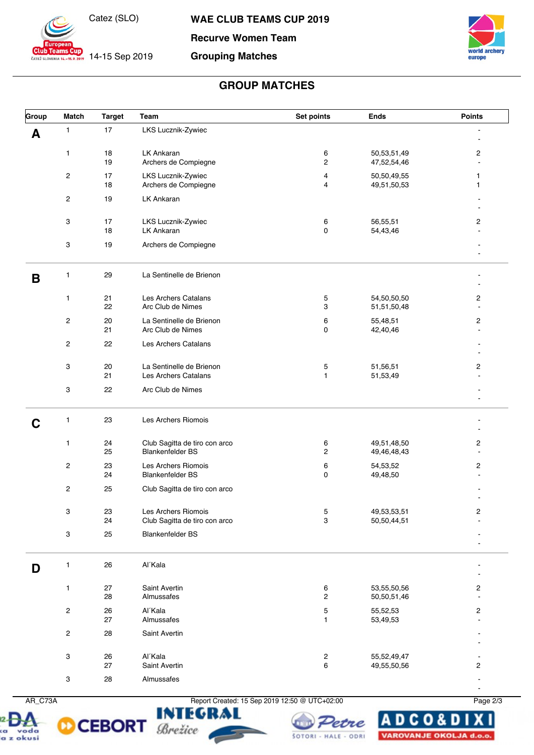

**WAE CLUB TEAMS CUP 2019**

# **Recurve Women Team Grouping Matches**



14-15 Sep 2019



### **GROUP MATCHES**

| Group | <b>Match</b>            | <b>Target</b> | Team                                                     | Set points                   | <b>Ends</b>                | <b>Points</b>           |
|-------|-------------------------|---------------|----------------------------------------------------------|------------------------------|----------------------------|-------------------------|
| A     | 1                       | 17            | LKS Lucznik-Zywiec                                       |                              |                            |                         |
|       | 1                       | 18<br>19      | LK Ankaran<br>Archers de Compiegne                       | 6<br>2                       | 50,53,51,49<br>47,52,54,46 | 2<br>$\blacksquare$     |
|       | $\overline{\mathbf{c}}$ | 17<br>18      | LKS Lucznik-Zywiec<br>Archers de Compiegne               | 4<br>$\overline{4}$          | 50,50,49,55<br>49,51,50,53 | 1<br>$\mathbf{1}$       |
|       | $\overline{\mathbf{c}}$ | 19            | LK Ankaran                                               |                              |                            |                         |
|       | 3                       | 17<br>18      | LKS Lucznik-Zywiec<br>LK Ankaran                         | 6<br>0                       | 56,55,51<br>54,43,46       | $\overline{c}$          |
|       | 3                       | 19            | Archers de Compiegne                                     |                              |                            |                         |
| В     | 1                       | 29            | La Sentinelle de Brienon                                 |                              |                            |                         |
|       | 1                       | 21<br>22      | Les Archers Catalans<br>Arc Club de Nimes                | 5<br>3                       | 54,50,50,50<br>51,51,50,48 | 2<br>$\sim$             |
|       | $\overline{c}$          | 20<br>21      | La Sentinelle de Brienon<br>Arc Club de Nimes            | 6<br>0                       | 55,48,51<br>42,40,46       | $\overline{c}$          |
|       | $\overline{\mathbf{c}}$ | 22            | Les Archers Catalans                                     |                              |                            |                         |
|       | 3                       | 20<br>21      | La Sentinelle de Brienon<br>Les Archers Catalans         | 5<br>$\mathbf{1}$            | 51,56,51<br>51,53,49       | 2                       |
|       | 3                       | 22            | Arc Club de Nimes                                        |                              |                            |                         |
| C     | 1                       | 23            | Les Archers Riomois                                      |                              |                            |                         |
|       | 1                       | 24<br>25      | Club Sagitta de tiro con arco<br><b>Blankenfelder BS</b> | 6<br>2                       | 49,51,48,50<br>49,46,48,43 | 2<br>$\blacksquare$     |
|       | $\overline{\mathbf{c}}$ | 23<br>24      | Les Archers Riomois<br><b>Blankenfelder BS</b>           | 6<br>$\mathbf 0$             | 54,53,52<br>49,48,50       | $\overline{c}$          |
|       | $\overline{c}$          | 25            | Club Sagitta de tiro con arco                            |                              |                            |                         |
|       | 3                       | 23<br>24      | Les Archers Riomois<br>Club Sagitta de tiro con arco     | 5<br>3                       | 49,53,53,51<br>50,50,44,51 | 2                       |
|       | 3                       | 25            | <b>Blankenfelder BS</b>                                  |                              |                            |                         |
| D     | 1                       | 26            | Al'Kala                                                  |                              |                            |                         |
|       | $\mathbf{1}$            | 27<br>28      | Saint Avertin<br>Almussafes                              | 6<br>2                       | 53,55,50,56<br>50,50,51,46 | $\overline{c}$<br>ä,    |
|       | $\mathbf 2$             | 26<br>27      | Al'Kala<br>Almussafes                                    | 5<br>$\mathbf{1}$            | 55,52,53<br>53,49,53       | $\overline{\mathbf{c}}$ |
|       | $\overline{c}$          | 28            | Saint Avertin                                            |                              |                            |                         |
|       | 3                       | 26<br>27      | Al'Kala<br>Saint Avertin                                 | $\overline{\mathbf{c}}$<br>6 | 55,52,49,47<br>49,55,50,56 | $\overline{c}$          |
|       | 3                       | 28            | Almussafes                                               |                              |                            |                         |